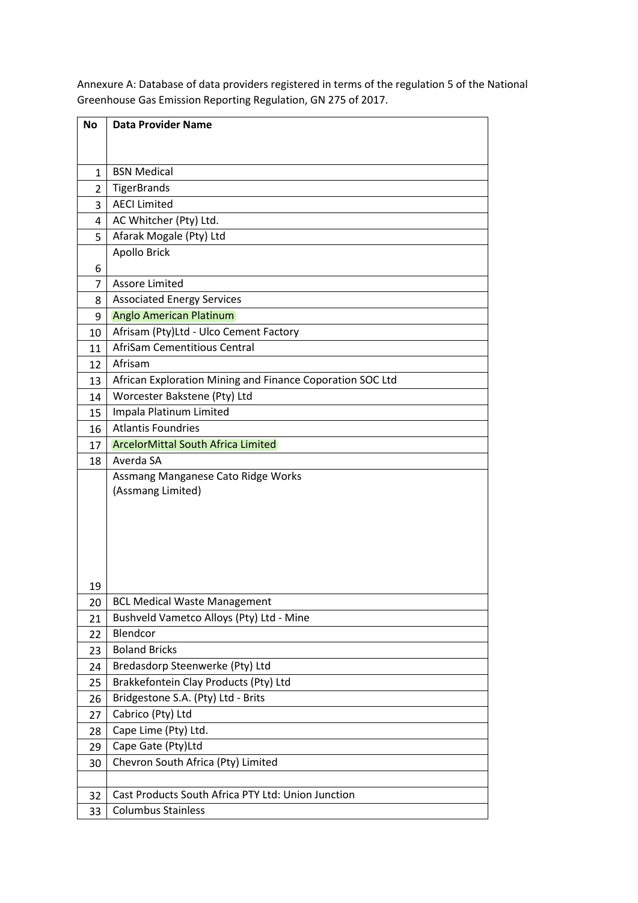| <b>No</b>      | <b>Data Provider Name</b>                                 |  |
|----------------|-----------------------------------------------------------|--|
|                |                                                           |  |
|                |                                                           |  |
| $\mathbf{1}$   | <b>BSN Medical</b>                                        |  |
| $\overline{2}$ | <b>TigerBrands</b>                                        |  |
| 3              | <b>AECI Limited</b>                                       |  |
| $\overline{4}$ | AC Whitcher (Pty) Ltd.                                    |  |
| 5              | Afarak Mogale (Pty) Ltd                                   |  |
|                | Apollo Brick                                              |  |
| 6              |                                                           |  |
| 7              | <b>Assore Limited</b>                                     |  |
| 8              | <b>Associated Energy Services</b>                         |  |
| 9              | <b>Anglo American Platinum</b>                            |  |
| 10             | Afrisam (Pty)Ltd - Ulco Cement Factory                    |  |
| 11             | <b>AfriSam Cementitious Central</b>                       |  |
| 12             | Afrisam                                                   |  |
| 13             | African Exploration Mining and Finance Coporation SOC Ltd |  |
| 14             | Worcester Bakstene (Pty) Ltd                              |  |
| 15             | Impala Platinum Limited                                   |  |
| 16             | <b>Atlantis Foundries</b>                                 |  |
| 17             | <b>ArcelorMittal South Africa Limited</b>                 |  |
| 18             | Averda SA                                                 |  |
|                | Assmang Manganese Cato Ridge Works                        |  |
|                | (Assmang Limited)                                         |  |
|                |                                                           |  |
|                |                                                           |  |
|                |                                                           |  |
|                |                                                           |  |
|                |                                                           |  |
| 19             |                                                           |  |
| 20             | <b>BCL Medical Waste Management</b>                       |  |
| 21             | Bushveld Vametco Alloys (Pty) Ltd - Mine<br>Blendcor      |  |
| 22             | <b>Boland Bricks</b>                                      |  |
| 23             |                                                           |  |
| 24             | Bredasdorp Steenwerke (Pty) Ltd                           |  |
| 25             | Brakkefontein Clay Products (Pty) Ltd                     |  |
| 26             | Bridgestone S.A. (Pty) Ltd - Brits                        |  |
| 27             | Cabrico (Pty) Ltd                                         |  |
| 28             | Cape Lime (Pty) Ltd.                                      |  |
| 29             | Cape Gate (Pty)Ltd                                        |  |
| 30             | Chevron South Africa (Pty) Limited                        |  |
|                |                                                           |  |
| 32             | Cast Products South Africa PTY Ltd: Union Junction        |  |
| 33             | <b>Columbus Stainless</b>                                 |  |

Annexure A: Database of data providers registered in terms of the regulation 5 of the National Greenhouse Gas Emission Reporting Regulation, GN 275 of 2017.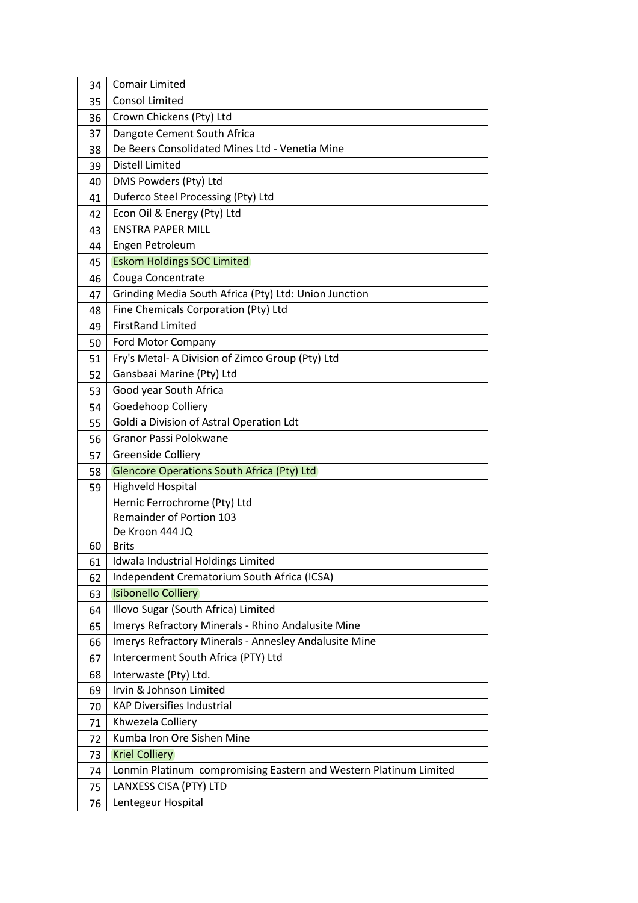| 34 | <b>Comair Limited</b>                                             |
|----|-------------------------------------------------------------------|
| 35 | <b>Consol Limited</b>                                             |
| 36 | Crown Chickens (Pty) Ltd                                          |
| 37 | Dangote Cement South Africa                                       |
| 38 | De Beers Consolidated Mines Ltd - Venetia Mine                    |
| 39 | <b>Distell Limited</b>                                            |
| 40 | DMS Powders (Pty) Ltd                                             |
| 41 | Duferco Steel Processing (Pty) Ltd                                |
| 42 | Econ Oil & Energy (Pty) Ltd                                       |
| 43 | <b>ENSTRA PAPER MILL</b>                                          |
| 44 | Engen Petroleum                                                   |
| 45 | <b>Eskom Holdings SOC Limited</b>                                 |
| 46 | Couga Concentrate                                                 |
| 47 | Grinding Media South Africa (Pty) Ltd: Union Junction             |
| 48 | Fine Chemicals Corporation (Pty) Ltd                              |
| 49 | <b>FirstRand Limited</b>                                          |
| 50 | Ford Motor Company                                                |
| 51 | Fry's Metal- A Division of Zimco Group (Pty) Ltd                  |
| 52 | Gansbaai Marine (Pty) Ltd                                         |
| 53 | Good year South Africa                                            |
| 54 | Goedehoop Colliery                                                |
| 55 | Goldi a Division of Astral Operation Ldt                          |
| 56 | Granor Passi Polokwane                                            |
| 57 | <b>Greenside Colliery</b>                                         |
| 58 | <b>Glencore Operations South Africa (Pty) Ltd</b>                 |
| 59 | Highveld Hospital                                                 |
|    | Hernic Ferrochrome (Pty) Ltd                                      |
|    | Remainder of Portion 103                                          |
|    | De Kroon 444 JQ                                                   |
| 60 | <b>Brits</b>                                                      |
| 61 | Idwala Industrial Holdings Limited                                |
| 62 | Independent Crematorium South Africa (ICSA)                       |
| 63 | <b>Isibonello Colliery</b>                                        |
| 64 | Illovo Sugar (South Africa) Limited                               |
| 65 | Imerys Refractory Minerals - Rhino Andalusite Mine                |
| 66 | Imerys Refractory Minerals - Annesley Andalusite Mine             |
| 67 | Intercerment South Africa (PTY) Ltd                               |
| 68 | Interwaste (Pty) Ltd.                                             |
| 69 | Irvin & Johnson Limited                                           |
| 70 | <b>KAP Diversifies Industrial</b>                                 |
| 71 | Khwezela Colliery                                                 |
| 72 | Kumba Iron Ore Sishen Mine                                        |
| 73 | <b>Kriel Colliery</b>                                             |
| 74 | Lonmin Platinum compromising Eastern and Western Platinum Limited |
| 75 | LANXESS CISA (PTY) LTD                                            |
| 76 | Lentegeur Hospital                                                |
|    |                                                                   |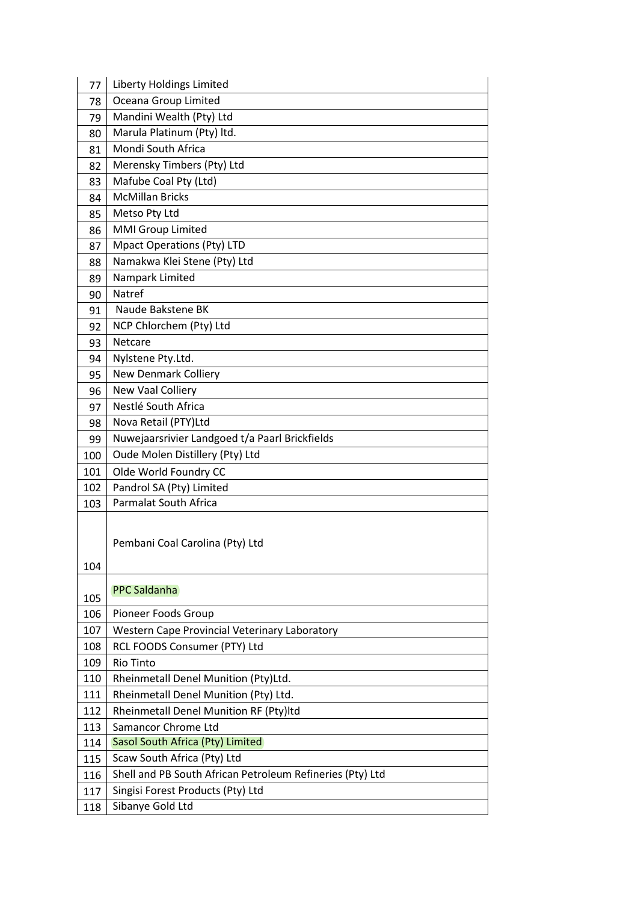| 77  | Liberty Holdings Limited                                  |
|-----|-----------------------------------------------------------|
| 78  | Oceana Group Limited                                      |
| 79  | Mandini Wealth (Pty) Ltd                                  |
| 80  | Marula Platinum (Pty) ltd.                                |
| 81  | Mondi South Africa                                        |
| 82  | Merensky Timbers (Pty) Ltd                                |
| 83  | Mafube Coal Pty (Ltd)                                     |
| 84  | <b>McMillan Bricks</b>                                    |
| 85  | Metso Pty Ltd                                             |
| 86  | <b>MMI Group Limited</b>                                  |
| 87  | <b>Mpact Operations (Pty) LTD</b>                         |
| 88  | Namakwa Klei Stene (Pty) Ltd                              |
| 89  | Nampark Limited                                           |
| 90  | Natref                                                    |
| 91  | Naude Bakstene BK                                         |
| 92  | NCP Chlorchem (Pty) Ltd                                   |
| 93  | Netcare                                                   |
| 94  | Nylstene Pty.Ltd.                                         |
| 95  | <b>New Denmark Colliery</b>                               |
| 96  | New Vaal Colliery                                         |
| 97  | Nestlé South Africa                                       |
| 98  | Nova Retail (PTY)Ltd                                      |
| 99  | Nuwejaarsrivier Landgoed t/a Paarl Brickfields            |
| 100 | Oude Molen Distillery (Pty) Ltd                           |
| 101 | Olde World Foundry CC                                     |
| 102 | Pandrol SA (Pty) Limited                                  |
| 103 | Parmalat South Africa                                     |
| 104 | Pembani Coal Carolina (Pty) Ltd                           |
| 105 | <b>PPC Saldanha</b>                                       |
| 106 | Pioneer Foods Group                                       |
| 107 | Western Cape Provincial Veterinary Laboratory             |
| 108 | RCL FOODS Consumer (PTY) Ltd                              |
| 109 | Rio Tinto                                                 |
| 110 | Rheinmetall Denel Munition (Pty)Ltd.                      |
| 111 | Rheinmetall Denel Munition (Pty) Ltd.                     |
| 112 | Rheinmetall Denel Munition RF (Pty)ltd                    |
| 113 | Samancor Chrome Ltd                                       |
| 114 | Sasol South Africa (Pty) Limited                          |
| 115 | Scaw South Africa (Pty) Ltd                               |
| 116 | Shell and PB South African Petroleum Refineries (Pty) Ltd |
| 117 | Singisi Forest Products (Pty) Ltd                         |
| 118 | Sibanye Gold Ltd                                          |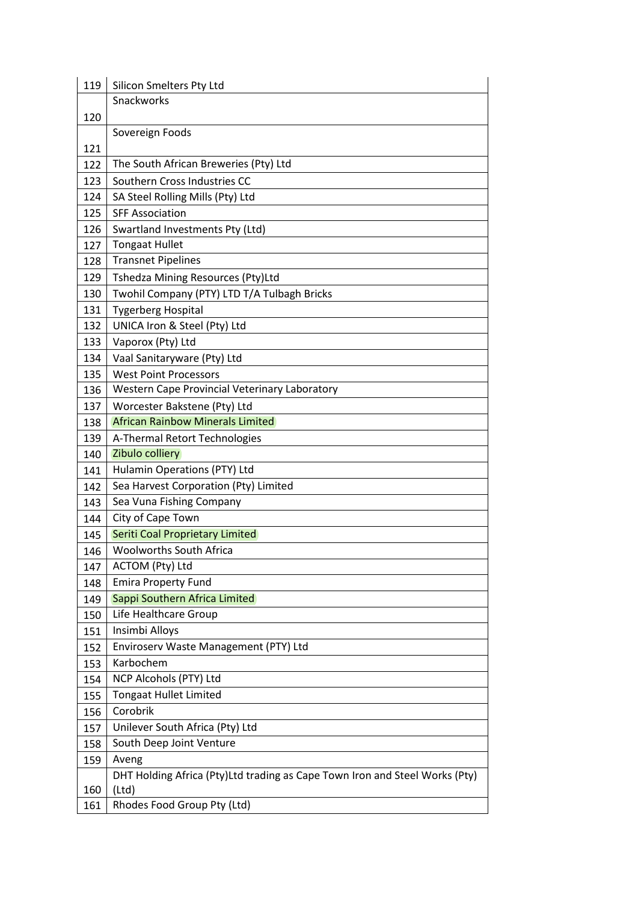| 119 | Silicon Smelters Pty Ltd                                                    |
|-----|-----------------------------------------------------------------------------|
|     | Snackworks                                                                  |
| 120 |                                                                             |
|     | Sovereign Foods                                                             |
| 121 |                                                                             |
| 122 | The South African Breweries (Pty) Ltd                                       |
| 123 | Southern Cross Industries CC                                                |
| 124 | SA Steel Rolling Mills (Pty) Ltd                                            |
| 125 | <b>SFF Association</b>                                                      |
| 126 | Swartland Investments Pty (Ltd)                                             |
| 127 | <b>Tongaat Hullet</b>                                                       |
| 128 | <b>Transnet Pipelines</b>                                                   |
| 129 | Tshedza Mining Resources (Pty)Ltd                                           |
| 130 | Twohil Company (PTY) LTD T/A Tulbagh Bricks                                 |
| 131 | <b>Tygerberg Hospital</b>                                                   |
| 132 | UNICA Iron & Steel (Pty) Ltd                                                |
| 133 | Vaporox (Pty) Ltd                                                           |
| 134 | Vaal Sanitaryware (Pty) Ltd                                                 |
| 135 | <b>West Point Processors</b>                                                |
| 136 | <b>Western Cape Provincial Veterinary Laboratory</b>                        |
| 137 | Worcester Bakstene (Pty) Ltd                                                |
| 138 | <b>African Rainbow Minerals Limited</b>                                     |
| 139 | A-Thermal Retort Technologies                                               |
| 140 | Zibulo colliery                                                             |
| 141 | Hulamin Operations (PTY) Ltd                                                |
| 142 | Sea Harvest Corporation (Pty) Limited                                       |
| 143 | Sea Vuna Fishing Company                                                    |
| 144 | City of Cape Town                                                           |
| 145 | Seriti Coal Proprietary Limited                                             |
| 146 | <b>Woolworths South Africa</b>                                              |
| 147 | ACTOM (Pty) Ltd                                                             |
| 148 | <b>Emira Property Fund</b>                                                  |
| 149 | Sappi Southern Africa Limited                                               |
| 150 | Life Healthcare Group                                                       |
| 151 | Insimbi Alloys                                                              |
| 152 | Enviroserv Waste Management (PTY) Ltd                                       |
| 153 | Karbochem                                                                   |
| 154 | NCP Alcohols (PTY) Ltd                                                      |
| 155 | <b>Tongaat Hullet Limited</b>                                               |
| 156 | Corobrik                                                                    |
| 157 | Unilever South Africa (Pty) Ltd                                             |
| 158 | South Deep Joint Venture                                                    |
| 159 | Aveng                                                                       |
|     | DHT Holding Africa (Pty)Ltd trading as Cape Town Iron and Steel Works (Pty) |
| 160 | (Ltd)                                                                       |
| 161 | Rhodes Food Group Pty (Ltd)                                                 |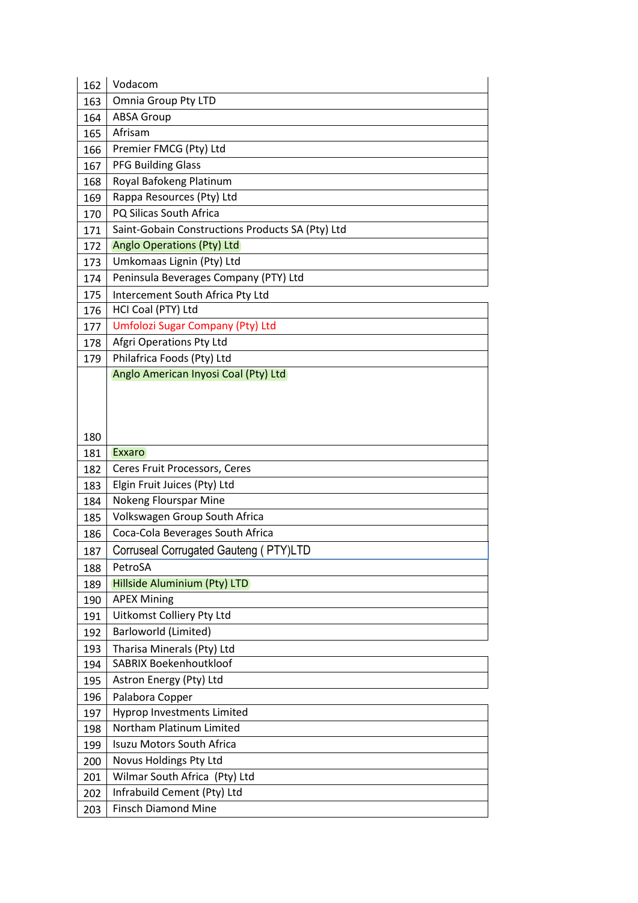| 162 | Vodacom                                                       |
|-----|---------------------------------------------------------------|
| 163 | <b>Omnia Group Pty LTD</b>                                    |
|     | <b>ABSA Group</b>                                             |
| 164 | Afrisam                                                       |
| 165 |                                                               |
| 166 | Premier FMCG (Pty) Ltd                                        |
| 167 | <b>PFG Building Glass</b>                                     |
| 168 | Royal Bafokeng Platinum                                       |
| 169 | Rappa Resources (Pty) Ltd                                     |
| 170 | PQ Silicas South Africa                                       |
| 171 | Saint-Gobain Constructions Products SA (Pty) Ltd              |
| 172 | <b>Anglo Operations (Pty) Ltd</b>                             |
| 173 | Umkomaas Lignin (Pty) Ltd                                     |
| 174 | Peninsula Beverages Company (PTY) Ltd                         |
| 175 | Intercement South Africa Pty Ltd                              |
| 176 | HCI Coal (PTY) Ltd                                            |
| 177 | Umfolozi Sugar Company (Pty) Ltd                              |
| 178 | Afgri Operations Pty Ltd                                      |
| 179 | Philafrica Foods (Pty) Ltd                                    |
|     | Anglo American Inyosi Coal (Pty) Ltd                          |
|     |                                                               |
|     |                                                               |
|     |                                                               |
| 180 | Exxaro                                                        |
| 181 |                                                               |
| 182 | Ceres Fruit Processors, Ceres<br>Elgin Fruit Juices (Pty) Ltd |
| 183 | Nokeng Flourspar Mine                                         |
| 184 | Volkswagen Group South Africa                                 |
| 185 |                                                               |
| 186 | Coca-Cola Beverages South Africa                              |
| 187 | Corruseal Corrugated Gauteng (PTY)LTD                         |
| 188 | PetroSA                                                       |
| 189 | Hillside Aluminium (Pty) LTD                                  |
| 190 | <b>APEX Mining</b>                                            |
| 191 | <b>Uitkomst Colliery Pty Ltd</b>                              |
| 192 | Barloworld (Limited)                                          |
|     |                                                               |
| 193 | Tharisa Minerals (Pty) Ltd                                    |
| 194 | <b>SABRIX Boekenhoutkloof</b>                                 |
| 195 | Astron Energy (Pty) Ltd                                       |
| 196 | Palabora Copper                                               |
| 197 | Hyprop Investments Limited                                    |
| 198 | Northam Platinum Limited                                      |
| 199 | Isuzu Motors South Africa                                     |
| 200 | Novus Holdings Pty Ltd                                        |
| 201 | Wilmar South Africa (Pty) Ltd                                 |
| 202 | Infrabuild Cement (Pty) Ltd                                   |
| 203 | <b>Finsch Diamond Mine</b>                                    |